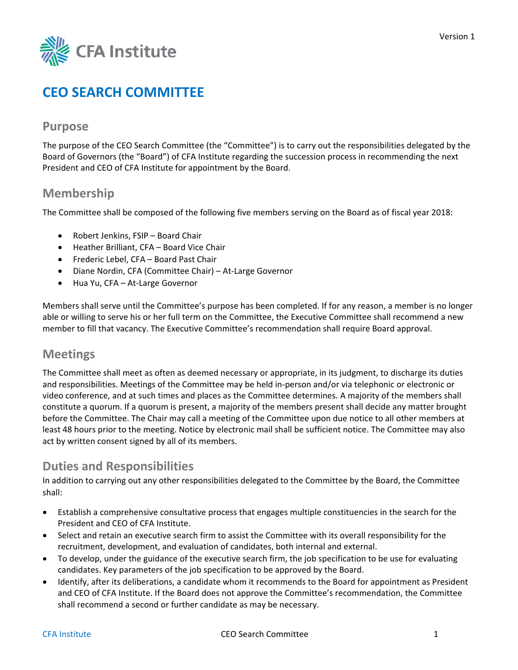

# **CEO SEARCH COMMITTEE**

### **Purpose**

The purpose of the CEO Search Committee (the "Committee") is to carry out the responsibilities delegated by the Board of Governors (the "Board") of CFA Institute regarding the succession process in recommending the next President and CEO of CFA Institute for appointment by the Board.

### **Membership**

The Committee shall be composed of the following five members serving on the Board as of fiscal year 2018:

- Robert Jenkins, FSIP Board Chair
- Heather Brilliant, CFA Board Vice Chair
- Frederic Lebel, CFA Board Past Chair
- Diane Nordin, CFA (Committee Chair) At-Large Governor
- Hua Yu, CFA At‐Large Governor

Members shall serve until the Committee's purpose has been completed. If for any reason, a member is no longer able or willing to serve his or her full term on the Committee, the Executive Committee shall recommend a new member to fill that vacancy. The Executive Committee's recommendation shall require Board approval.

#### **Meetings**

The Committee shall meet as often as deemed necessary or appropriate, in its judgment, to discharge its duties and responsibilities. Meetings of the Committee may be held in‐person and/or via telephonic or electronic or video conference, and at such times and places as the Committee determines. A majority of the members shall constitute a quorum. If a quorum is present, a majority of the members present shall decide any matter brought before the Committee. The Chair may call a meeting of the Committee upon due notice to all other members at least 48 hours prior to the meeting. Notice by electronic mail shall be sufficient notice. The Committee may also act by written consent signed by all of its members.

## **Duties and Responsibilities**

In addition to carrying out any other responsibilities delegated to the Committee by the Board, the Committee shall:

- Establish a comprehensive consultative process that engages multiple constituencies in the search for the President and CEO of CFA Institute.
- Select and retain an executive search firm to assist the Committee with its overall responsibility for the recruitment, development, and evaluation of candidates, both internal and external.
- To develop, under the guidance of the executive search firm, the job specification to be use for evaluating candidates. Key parameters of the job specification to be approved by the Board.
- Identify, after its deliberations, a candidate whom it recommends to the Board for appointment as President and CEO of CFA Institute. If the Board does not approve the Committee's recommendation, the Committee shall recommend a second or further candidate as may be necessary.